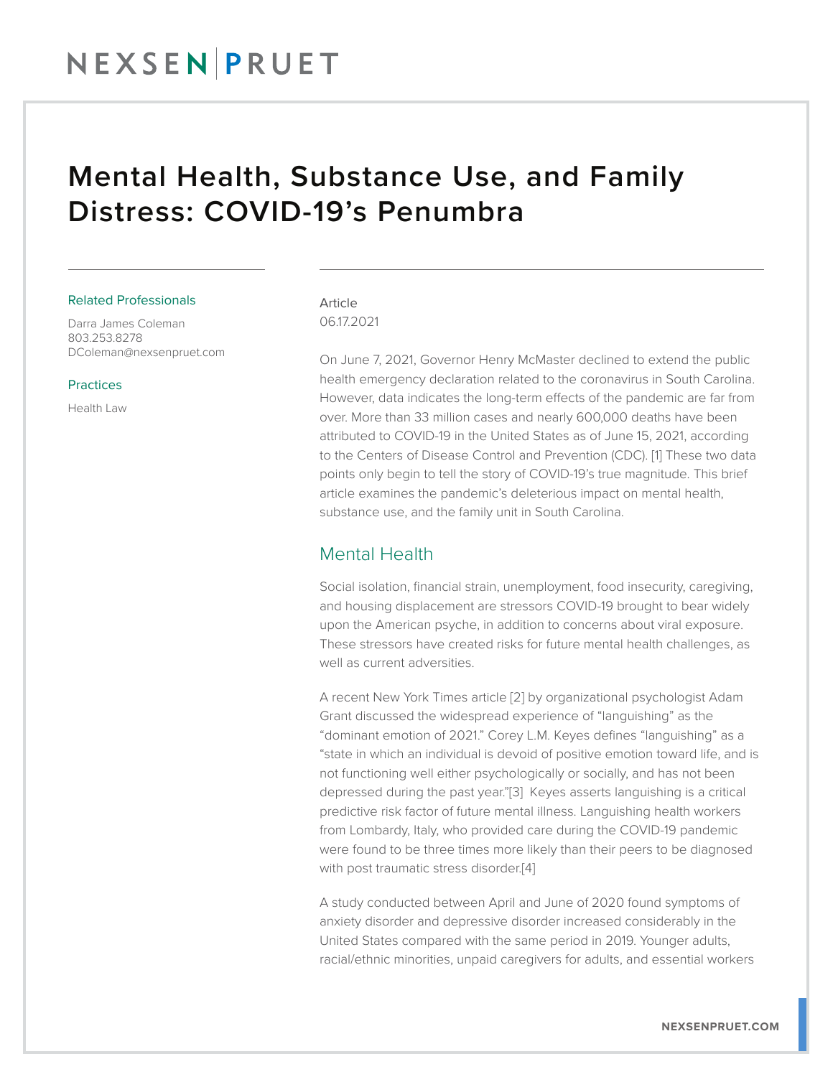## NEXSENPRUET

## Mental Health, Substance Use, and Family Distress: COVID-19's Penumbra

#### Related Professionals

Darra James Coleman 803.253.8278 DColeman@nexsenpruet.com

#### Practices

Health Law

#### Article 06.17.2021

On June 7, 2021, Governor Henry McMaster declined to extend the public health emergency declaration related to the coronavirus in South Carolina. However, data indicates the long-term effects of the pandemic are far from over. More than 33 million cases and nearly 600,000 deaths have been attributed to COVID-19 in the United States as of June 15, 2021, according to the Centers of Disease Control and Prevention (CDC). [1] These two data points only begin to tell the story of COVID-19's true magnitude. This brief article examines the pandemic's deleterious impact on mental health, substance use, and the family unit in South Carolina.

### Mental Health

Social isolation, financial strain, unemployment, food insecurity, caregiving, and housing displacement are stressors COVID-19 brought to bear widely upon the American psyche, in addition to concerns about viral exposure. These stressors have created risks for future mental health challenges, as well as current adversities.

A recent New York Times article [2] by organizational psychologist Adam Grant discussed the widespread experience of "languishing" as the "dominant emotion of 2021." Corey L.M. Keyes defines "languishing" as a "state in which an individual is devoid of positive emotion toward life, and is not functioning well either psychologically or socially, and has not been depressed during the past year."[3] Keyes asserts languishing is a critical predictive risk factor of future mental illness. Languishing health workers from Lombardy, Italy, who provided care during the COVID-19 pandemic were found to be three times more likely than their peers to be diagnosed with post traumatic stress disorder.[4]

A study conducted between April and June of 2020 found symptoms of anxiety disorder and depressive disorder increased considerably in the United States compared with the same period in 2019. Younger adults, racial/ethnic minorities, unpaid caregivers for adults, and essential workers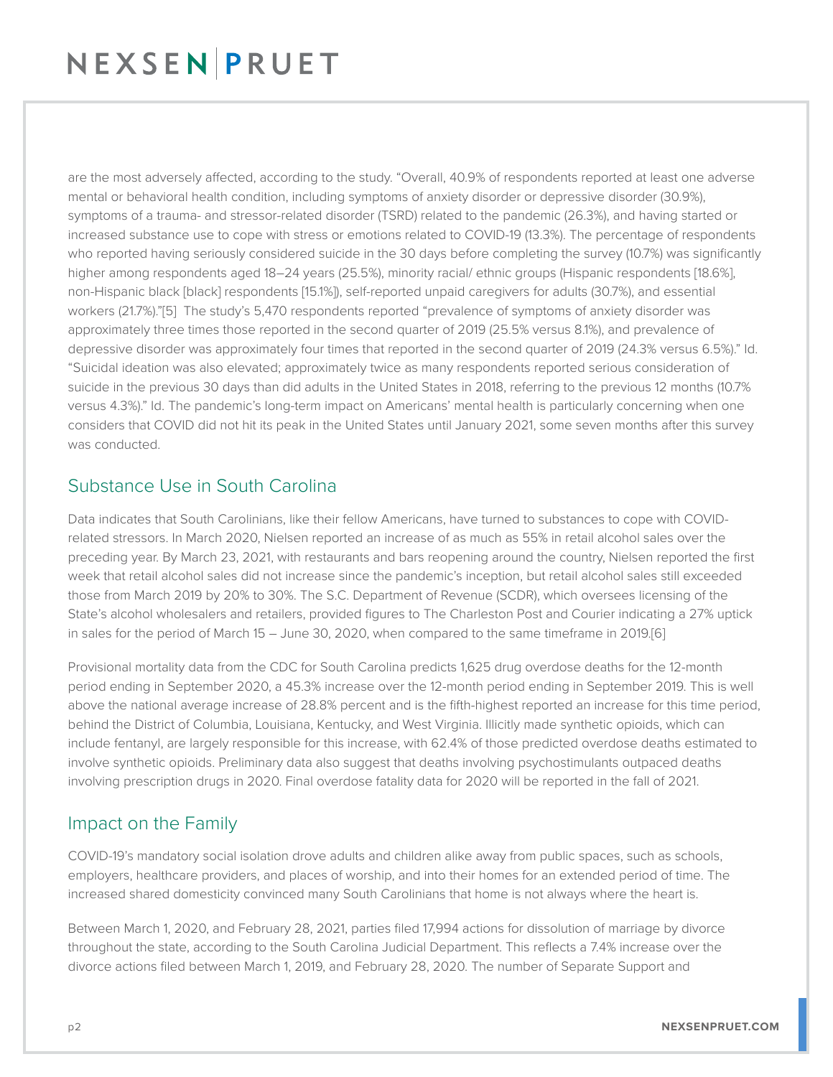# NEXSENPRUET

are the most adversely affected, according to the study. "Overall, 40.9% of respondents reported at least one adverse mental or behavioral health condition, including symptoms of anxiety disorder or depressive disorder (30.9%), symptoms of a trauma- and stressor-related disorder (TSRD) related to the pandemic (26.3%), and having started or increased substance use to cope with stress or emotions related to COVID-19 (13.3%). The percentage of respondents who reported having seriously considered suicide in the 30 days before completing the survey (10.7%) was significantly higher among respondents aged 18–24 years (25.5%), minority racial/ ethnic groups (Hispanic respondents [18.6%], non-Hispanic black [black] respondents [15.1%]), self-reported unpaid caregivers for adults (30.7%), and essential workers (21.7%)."[5] The study's 5,470 respondents reported "prevalence of symptoms of anxiety disorder was approximately three times those reported in the second quarter of 2019 (25.5% versus 8.1%), and prevalence of depressive disorder was approximately four times that reported in the second quarter of 2019 (24.3% versus 6.5%)." Id. "Suicidal ideation was also elevated; approximately twice as many respondents reported serious consideration of suicide in the previous 30 days than did adults in the United States in 2018, referring to the previous 12 months (10.7% versus 4.3%)." Id. The pandemic's long-term impact on Americans' mental health is particularly concerning when one considers that COVID did not hit its peak in the United States until January 2021, some seven months after this survey was conducted.

### Substance Use in South Carolina

Data indicates that South Carolinians, like their fellow Americans, have turned to substances to cope with COVIDrelated stressors. In March 2020, Nielsen reported an increase of as much as 55% in retail alcohol sales over the preceding year. By March 23, 2021, with restaurants and bars reopening around the country, Nielsen reported the first week that retail alcohol sales did not increase since the pandemic's inception, but retail alcohol sales still exceeded those from March 2019 by 20% to 30%. The S.C. Department of Revenue (SCDR), which oversees licensing of the State's alcohol wholesalers and retailers, provided figures to The Charleston Post and Courier indicating a 27% uptick in sales for the period of March 15 – June 30, 2020, when compared to the same timeframe in 2019.[6]

Provisional mortality data from the CDC for South Carolina predicts 1,625 drug overdose deaths for the 12-month period ending in September 2020, a 45.3% increase over the 12-month period ending in September 2019. This is well above the national average increase of 28.8% percent and is the fifth-highest reported an increase for this time period, behind the District of Columbia, Louisiana, Kentucky, and West Virginia. Illicitly made synthetic opioids, which can include fentanyl, are largely responsible for this increase, with 62.4% of those predicted overdose deaths estimated to involve synthetic opioids. Preliminary data also suggest that deaths involving psychostimulants outpaced deaths involving prescription drugs in 2020. Final overdose fatality data for 2020 will be reported in the fall of 2021.

### Impact on the Family

COVID-19's mandatory social isolation drove adults and children alike away from public spaces, such as schools, employers, healthcare providers, and places of worship, and into their homes for an extended period of time. The increased shared domesticity convinced many South Carolinians that home is not always where the heart is.

Between March 1, 2020, and February 28, 2021, parties filed 17,994 actions for dissolution of marriage by divorce throughout the state, according to the South Carolina Judicial Department. This reflects a 7.4% increase over the divorce actions filed between March 1, 2019, and February 28, 2020. The number of Separate Support and